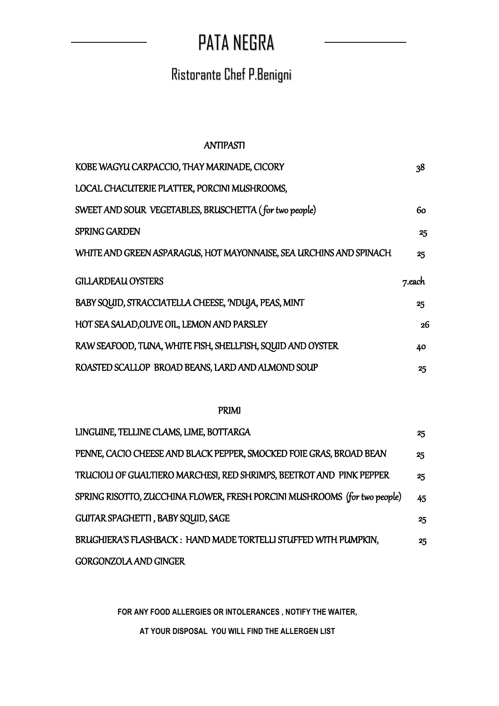# PATA NEGRA

## Ristorante Chef P.Benigni

#### ANTIPASTI

| KOBE WAGYU CARPACCIO, THAY MARINADE, CICORY                        | 38     |
|--------------------------------------------------------------------|--------|
| LOCAL CHACUTERIE PLATTER, PORCINI MUSHROOMS,                       |        |
| SWEET AND SOUR VEGETABLES, BRUSCHETTA (for two people)             | 60.    |
| <b>SPRING GARDEN</b>                                               | 25     |
| WHITE AND GREEN ASPARAGUS, HOT MAYONNAISE, SEA URCHINS AND SPINACH | 25     |
| <b>GILLARDEAU OYSTERS</b>                                          | 7.each |
| BABY SQUID, STRACCIATELLA CHEESE, 'NDUJA, PEAS, MINT               | 25     |
| HOT SEA SALAD, OLIVE OIL, LEMON AND PARSLEY                        | 26     |
| RAW SEAFOOD, TUNA, WHITE FISH, SHELLFISH, SQUID AND OYSTER         | 40     |
| ROASTED SCALLOP BROAD BEANS, LARD AND ALMOND SOUP                  | 25     |

#### PRIMI

| LINGUINE, TELLINE CLAMS, LIME, BOTTARGA                                   | 25 |
|---------------------------------------------------------------------------|----|
| PENNE, CACIO CHEESE AND BLACK PEPPER, SMOCKED FOIE GRAS, BROAD BEAN       | 25 |
| TRUCIOLI OF GUALTIERO MARCHESI, RED SHRIMPS, BEETROT AND PINK PEPPER      | 25 |
| SPRING RISOTTO, ZUCCHINA FLOWER, FRESH PORCINI MUSHROOMS (for two people) | 45 |
| GUITAR SPAGHETTI, BABY SQUID, SAGE                                        | 25 |
| BRUGHIERA'S FLASHBACK: HAND MADE TORTELLI STUFFED WITH PUMPKIN,           | 25 |
| <b>GORGONZOLA AND GINGER</b>                                              |    |

**FOR ANY FOOD ALLERGIES OR INTOLERANCES , NOTIFY THE WAITER,** 

**AT YOUR DISPOSAL YOU WILL FIND THE ALLERGEN LIST**